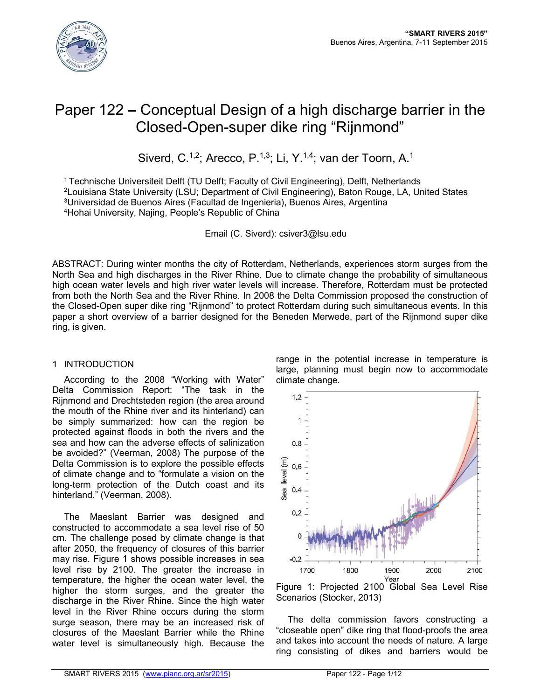

# Paper 122 **–** Conceptual Design of a high discharge barrier in the Closed-Open-super dike ring "Rijnmond"

Siverd, C.<sup>1,2</sup>; Arecco, P.<sup>1,3</sup>; Li, Y.<sup>1,4</sup>; van der Toorn, A.<sup>1</sup>

1 Technische Universiteit Delft (TU Delft; Faculty of Civil Engineering), Delft, Netherlands 2Louisiana State University (LSU; Department of Civil Engineering), Baton Rouge, LA, United States 3Universidad de Buenos Aires (Facultad de Ingenieria), Buenos Aires, Argentina 4Hohai University, Najing, People's Republic of China

Email (C. Siverd): csiver3@lsu.edu

ABSTRACT: During winter months the city of Rotterdam, Netherlands, experiences storm surges from the North Sea and high discharges in the River Rhine. Due to climate change the probability of simultaneous high ocean water levels and high river water levels will increase. Therefore, Rotterdam must be protected from both the North Sea and the River Rhine. In 2008 the Delta Commission proposed the construction of the Closed-Open super dike ring "Rijnmond" to protect Rotterdam during such simultaneous events. In this paper a short overview of a barrier designed for the Beneden Merwede, part of the Rijnmond super dike ring, is given.

## 1 INTRODUCTION

According to the 2008 "Working with Water" Delta Commission Report: "The task in the Rijnmond and Drechtsteden region (the area around the mouth of the Rhine river and its hinterland) can be simply summarized: how can the region be protected against floods in both the rivers and the sea and how can the adverse effects of salinization be avoided?" (Veerman, 2008) The purpose of the Delta Commission is to explore the possible effects of climate change and to "formulate a vision on the long-term protection of the Dutch coast and its hinterland." (Veerman, 2008).

The Maeslant Barrier was designed and constructed to accommodate a sea level rise of 50 cm. The challenge posed by climate change is that after 2050, the frequency of closures of this barrier may rise. Figure 1 shows possible increases in sea level rise by 2100. The greater the increase in temperature, the higher the ocean water level, the higher the storm surges, and the greater the discharge in the River Rhine. Since the high water level in the River Rhine occurs during the storm surge season, there may be an increased risk of closures of the Maeslant Barrier while the Rhine water level is simultaneously high. Because the

range in the potential increase in temperature is large, planning must begin now to accommodate climate change.



Figure 1: Projected 2100 Global Sea Level Rise Scenarios (Stocker, 2013)

The delta commission favors constructing a "closeable open" dike ring that flood-proofs the area and takes into account the needs of nature. A large ring consisting of dikes and barriers would be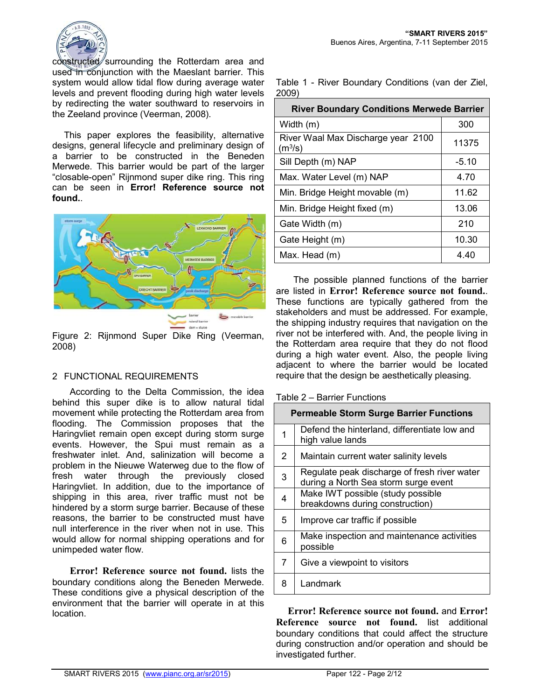

constructed surrounding the Rotterdam area and used in conjunction with the Maeslant barrier. This system would allow tidal flow during average water levels and prevent flooding during high water levels by redirecting the water southward to reservoirs in the Zeeland province (Veerman, 2008).

This paper explores the feasibility, alternative designs, general lifecycle and preliminary design of a barrier to be constructed in the Beneden Merwede. This barrier would be part of the larger "closable-open" Rijnmond super dike ring. This ring can be seen in **Error! Reference source not found.**.



Figure 2: Rijnmond Super Dike Ring (Veerman, 2008)

## 2 FUNCTIONAL REQUIREMENTS

According to the Delta Commission, the idea behind this super dike is to allow natural tidal movement while protecting the Rotterdam area from flooding. The Commission proposes that the Haringvliet remain open except during storm surge events. However, the Spui must remain as a freshwater inlet. And, salinization will become a problem in the Nieuwe Waterweg due to the flow of fresh water through the previously closed Haringvliet. In addition, due to the importance of shipping in this area, river traffic must not be hindered by a storm surge barrier. Because of these reasons, the barrier to be constructed must have null interference in the river when not in use. This would allow for normal shipping operations and for unimpeded water flow.

**Error! Reference source not found.** lists the boundary conditions along the Beneden Merwede. These conditions give a physical description of the environment that the barrier will operate in at this location.

Table 1 - River Boundary Conditions (van der Ziel, 2009)

| <b>River Boundary Conditions Merwede Barrier</b>          |         |
|-----------------------------------------------------------|---------|
| Width (m)                                                 | 300     |
| River Waal Max Discharge year 2100<br>(m <sup>3</sup> /s) | 11375   |
| Sill Depth (m) NAP                                        | $-5.10$ |
| Max. Water Level (m) NAP                                  | 4.70    |
| Min. Bridge Height movable (m)                            | 11.62   |
| Min. Bridge Height fixed (m)                              | 13.06   |
| Gate Width (m)                                            | 210     |
| Gate Height (m)                                           | 10.30   |
| Max. Head (m)                                             | 4.40    |

The possible planned functions of the barrier are listed in **Error! Reference source not found.**. These functions are typically gathered from the stakeholders and must be addressed. For example, the shipping industry requires that navigation on the river not be interfered with. And, the people living in the Rotterdam area require that they do not flood during a high water event. Also, the people living adjacent to where the barrier would be located require that the design be aesthetically pleasing.

### Table 2 – Barrier Functions

|   | <b>Permeable Storm Surge Barrier Functions</b>                                       |
|---|--------------------------------------------------------------------------------------|
| 1 | Defend the hinterland, differentiate low and<br>high value lands                     |
| 2 | Maintain current water salinity levels                                               |
| 3 | Regulate peak discharge of fresh river water<br>during a North Sea storm surge event |
| 4 | Make IWT possible (study possible<br>breakdowns during construction)                 |
| 5 | Improve car traffic if possible                                                      |
| 6 | Make inspection and maintenance activities<br>possible                               |
| 7 | Give a viewpoint to visitors                                                         |
| 8 | Landmark                                                                             |

**Error! Reference source not found.** and **Error! Reference source not found.** list additional boundary conditions that could affect the structure during construction and/or operation and should be investigated further.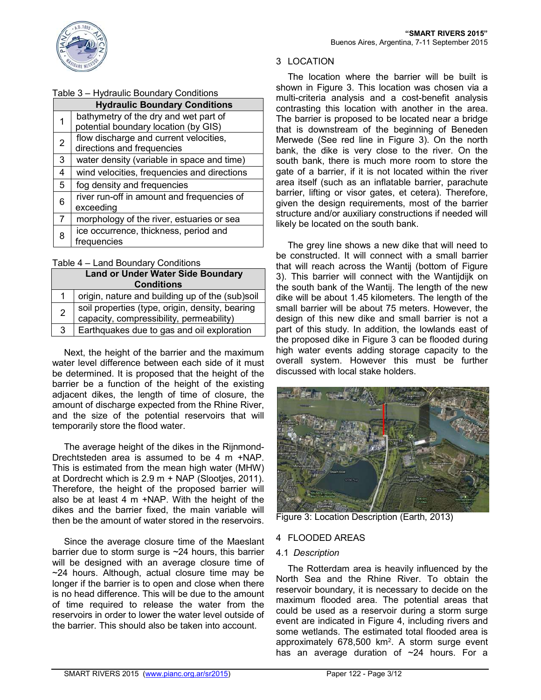

## 3 LOCATION

The location where the barrier will be built is shown in Figure 3. This location was chosen via a multi-criteria analysis and a cost-benefit analysis contrasting this location with another in the area. The barrier is proposed to be located near a bridge that is downstream of the beginning of Beneden Merwede (See red line in Figure 3). On the north bank, the dike is very close to the river. On the south bank, there is much more room to store the gate of a barrier, if it is not located within the river area itself (such as an inflatable barrier, parachute barrier, lifting or visor gates, et cetera). Therefore, given the design requirements, most of the barrier structure and/or auxiliary constructions if needed will likely be located on the south bank.

The grey line shows a new dike that will need to be constructed. It will connect with a small barrier that will reach across the Wantij (bottom of Figure 3). This barrier will connect with the Wantijdijk on the south bank of the Wantij. The length of the new dike will be about 1.45 kilometers. The length of the small barrier will be about 75 meters. However, the design of this new dike and small barrier is not a part of this study. In addition, the lowlands east of the proposed dike in Figure 3 can be flooded during high water events adding storage capacity to the overall system. However this must be further discussed with local stake holders.



Figure 3: Location Description (Earth, 2013)

## 4 FLOODED AREAS

#### 4.1 *Description*

The Rotterdam area is heavily influenced by the North Sea and the Rhine River. To obtain the reservoir boundary, it is necessary to decide on the maximum flooded area. The potential areas that could be used as a reservoir during a storm surge event are indicated in Figure 4, including rivers and some wetlands. The estimated total flooded area is approximately 678,500 km2. A storm surge event has an average duration of  $\sim$ 24 hours. For a

## Table 3 – Hydraulic Boundary Conditions

| <b>Hydraulic Boundary Conditions</b> |                                             |  |  |
|--------------------------------------|---------------------------------------------|--|--|
|                                      | bathymetry of the dry and wet part of       |  |  |
|                                      | potential boundary location (by GIS)        |  |  |
| $\overline{2}$                       | flow discharge and current velocities,      |  |  |
|                                      | directions and frequencies                  |  |  |
| 3                                    | water density (variable in space and time)  |  |  |
| 4                                    | wind velocities, frequencies and directions |  |  |
| 5                                    | fog density and frequencies                 |  |  |
| 6                                    | river run-off in amount and frequencies of  |  |  |
|                                      | exceeding                                   |  |  |
| 7                                    | morphology of the river, estuaries or sea   |  |  |
| 8                                    | ice occurrence, thickness, period and       |  |  |
|                                      | frequencies                                 |  |  |

### Table 4 – Land Boundary Conditions

| <b>Land or Under Water Side Boundary</b> |                                                                                             |  |  |
|------------------------------------------|---------------------------------------------------------------------------------------------|--|--|
| <b>Conditions</b>                        |                                                                                             |  |  |
| $\mathbf{1}$                             | origin, nature and building up of the (sub)soil                                             |  |  |
| $\overline{2}$                           | soil properties (type, origin, density, bearing<br>capacity, compressibility, permeability) |  |  |
| 3                                        | Earthquakes due to gas and oil exploration                                                  |  |  |

Next, the height of the barrier and the maximum water level difference between each side of it must be determined. It is proposed that the height of the barrier be a function of the height of the existing adjacent dikes, the length of time of closure, the amount of discharge expected from the Rhine River, and the size of the potential reservoirs that will temporarily store the flood water.

The average height of the dikes in the Rijnmond-Drechtsteden area is assumed to be 4 m +NAP. This is estimated from the mean high water (MHW) at Dordrecht which is 2.9 m + NAP (Slootjes, 2011). Therefore, the height of the proposed barrier will also be at least 4 m +NAP. With the height of the dikes and the barrier fixed, the main variable will then be the amount of water stored in the reservoirs.

Since the average closure time of the Maeslant barrier due to storm surge is ~24 hours, this barrier will be designed with an average closure time of ~24 hours. Although, actual closure time may be longer if the barrier is to open and close when there is no head difference. This will be due to the amount of time required to release the water from the reservoirs in order to lower the water level outside of the barrier. This should also be taken into account.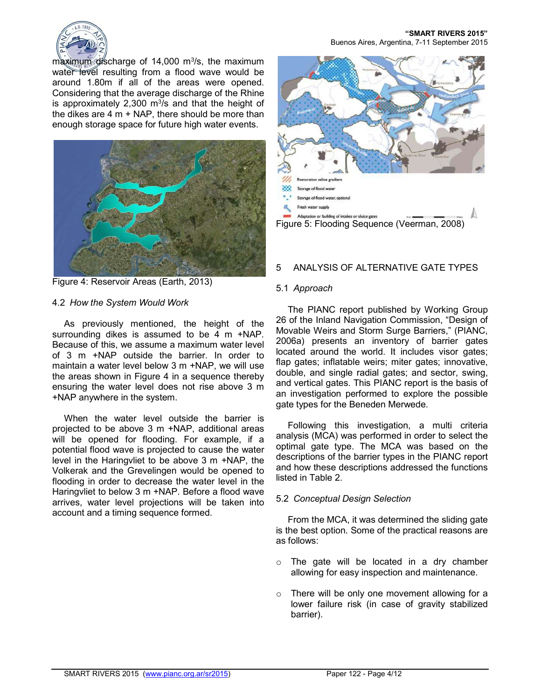

maximum discharge of 14,000 m<sup>3</sup>/s, the maximum water level resulting from a flood wave would be around 1.80m if all of the areas were opened. Considering that the average discharge of the Rhine is approximately 2,300  $m^3/s$  and that the height of the dikes are 4 m + NAP, there should be more than enough storage space for future high water events.





## 4.2 *How the System Would Work*

As previously mentioned, the height of the surrounding dikes is assumed to be 4 m +NAP. Because of this, we assume a maximum water level of 3 m +NAP outside the barrier. In order to maintain a water level below 3 m +NAP, we will use the areas shown in Figure 4 in a sequence thereby ensuring the water level does not rise above 3 m +NAP anywhere in the system.

When the water level outside the barrier is projected to be above 3 m +NAP, additional areas will be opened for flooding. For example, if a potential flood wave is projected to cause the water level in the Haringvliet to be above 3 m +NAP, the Volkerak and the Grevelingen would be opened to flooding in order to decrease the water level in the Haringvliet to below 3 m +NAP. Before a flood wave arrives, water level projections will be taken into account and a timing sequence formed.

**"SMART RIVERS 2015"** Buenos Aires, Argentina, 7-11 September 2015



## 5 ANALYSIS OF ALTERNATIVE GATE TYPES

#### 5.1 *Approach*

The PIANC report published by Working Group 26 of the Inland Navigation Commission, "Design of Movable Weirs and Storm Surge Barriers," (PIANC, 2006a) presents an inventory of barrier gates located around the world. It includes visor gates; flap gates; inflatable weirs; miter gates; innovative, double, and single radial gates; and sector, swing, and vertical gates. This PIANC report is the basis of an investigation performed to explore the possible gate types for the Beneden Merwede.

Following this investigation, a multi criteria analysis (MCA) was performed in order to select the optimal gate type. The MCA was based on the descriptions of the barrier types in the PIANC report and how these descriptions addressed the functions listed in Table 2.

#### 5.2 *Conceptual Design Selection*

From the MCA, it was determined the sliding gate is the best option. Some of the practical reasons are as follows:

- o The gate will be located in a dry chamber allowing for easy inspection and maintenance.
- o There will be only one movement allowing for a lower failure risk (in case of gravity stabilized barrier).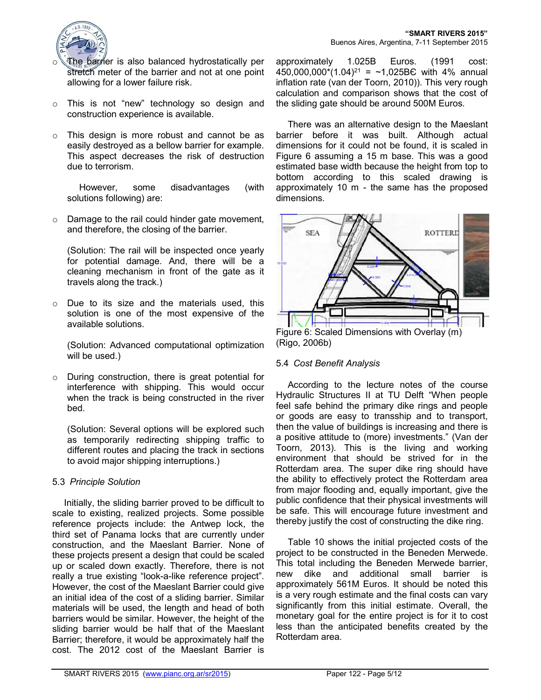

- The barrier is also balanced hydrostatically per stretch meter of the barrier and not at one point allowing for a lower failure risk.
- o This is not "new" technology so design and construction experience is available.
- o This design is more robust and cannot be as easily destroyed as a bellow barrier for example. This aspect decreases the risk of destruction due to terrorism.

However, some disadvantages (with solutions following) are:

o Damage to the rail could hinder gate movement, and therefore, the closing of the barrier.

(Solution: The rail will be inspected once yearly for potential damage. And, there will be a cleaning mechanism in front of the gate as it travels along the track.)

o Due to its size and the materials used, this solution is one of the most expensive of the available solutions.

(Solution: Advanced computational optimization will be used.)

o During construction, there is great potential for interference with shipping. This would occur when the track is being constructed in the river bed.

(Solution: Several options will be explored such as temporarily redirecting shipping traffic to different routes and placing the track in sections to avoid major shipping interruptions.)

## 5.3 *Principle Solution*

Initially, the sliding barrier proved to be difficult to scale to existing, realized projects. Some possible reference projects include: the Antwep lock, the third set of Panama locks that are currently under construction, and the Maeslant Barrier. None of these projects present a design that could be scaled up or scaled down exactly. Therefore, there is not really a true existing "look-a-like reference project". However, the cost of the Maeslant Barrier could give an initial idea of the cost of a sliding barrier. Similar materials will be used, the length and head of both barriers would be similar. However, the height of the sliding barrier would be half that of the Maeslant Barrier; therefore, it would be approximately half the cost. The 2012 cost of the Maeslant Barrier is

approximately 1.025B Euros. (1991 cost: 450,000,000\*(1.04)<sup>21</sup> = ~1,025BC with 4% annual inflation rate (van der Toorn, 2010)). This very rough calculation and comparison shows that the cost of the sliding gate should be around 500M Euros.

There was an alternative design to the Maeslant barrier before it was built. Although actual dimensions for it could not be found, it is scaled in Figure 6 assuming a 15 m base. This was a good estimated base width because the height from top to bottom according to this scaled drawing is approximately 10 m - the same has the proposed dimensions.



(Rigo, 2006b)

## 5.4 *Cost Benefit Analysis*

According to the lecture notes of the course Hydraulic Structures II at TU Delft "When people feel safe behind the primary dike rings and people or goods are easy to transship and to transport, then the value of buildings is increasing and there is a positive attitude to (more) investments." (Van der Toorn, 2013). This is the living and working environment that should be strived for in the Rotterdam area. The super dike ring should have the ability to effectively protect the Rotterdam area from major flooding and, equally important, give the public confidence that their physical investments will be safe. This will encourage future investment and thereby justify the cost of constructing the dike ring.

Table 10 shows the initial projected costs of the project to be constructed in the Beneden Merwede. This total including the Beneden Merwede barrier, new dike and additional small barrier is approximately 561M Euros. It should be noted this is a very rough estimate and the final costs can vary significantly from this initial estimate. Overall, the monetary goal for the entire project is for it to cost less than the anticipated benefits created by the Rotterdam area.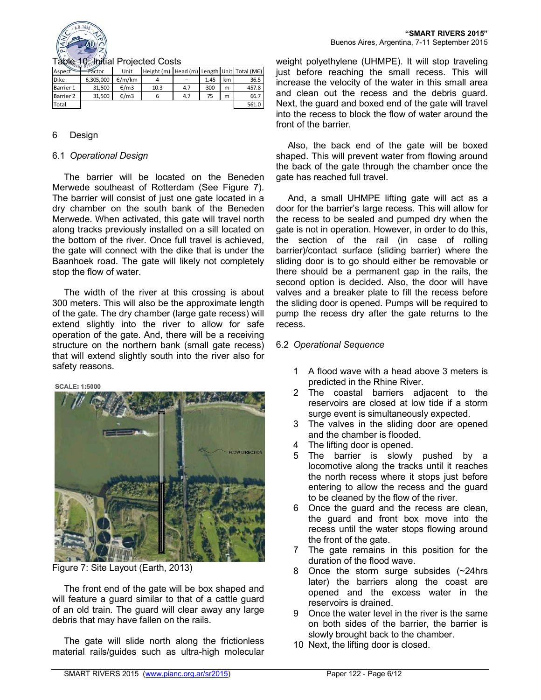

#### Table 10: Initial Projected Costs

| Aspect      | Factor    | Unit   | Height (m) Head (m) Length Unit Total (ME) |     |      |    |       |
|-------------|-----------|--------|--------------------------------------------|-----|------|----|-------|
| <b>Dike</b> | 6.305.000 | E/m/km |                                            |     | 1.45 | km | 36.5  |
| Barrier 1   | 31.500    | E/m3   | 10.3                                       | 4.7 | 300  | m  | 457.8 |
| Barrier 2   | 31.500    | E/m3   |                                            | 4.7 | 75   | m  | 66.7  |
| Total       |           |        |                                            |     |      |    | 561.0 |

#### 6 Design

#### 6.1 *Operational Design*

The barrier will be located on the Beneden Merwede southeast of Rotterdam (See Figure 7). The barrier will consist of just one gate located in a dry chamber on the south bank of the Beneden Merwede. When activated, this gate will travel north along tracks previously installed on a sill located on the bottom of the river. Once full travel is achieved, the gate will connect with the dike that is under the Baanhoek road. The gate will likely not completely stop the flow of water.

The width of the river at this crossing is about 300 meters. This will also be the approximate length of the gate. The dry chamber (large gate recess) will extend slightly into the river to allow for safe operation of the gate. And, there will be a receiving structure on the northern bank (small gate recess) that will extend slightly south into the river also for safety reasons.

#### **SCALE: 1:5000**



Figure 7: Site Layout (Earth, 2013)

The front end of the gate will be box shaped and will feature a guard similar to that of a cattle guard of an old train. The guard will clear away any large debris that may have fallen on the rails.

The gate will slide north along the frictionless material rails/guides such as ultra-high molecular

weight polyethylene (UHMPE). It will stop traveling just before reaching the small recess. This will increase the velocity of the water in this small area and clean out the recess and the debris guard. Next, the guard and boxed end of the gate will travel into the recess to block the flow of water around the front of the barrier.

Also, the back end of the gate will be boxed shaped. This will prevent water from flowing around the back of the gate through the chamber once the gate has reached full travel.

And, a small UHMPE lifting gate will act as a door for the barrier's large recess. This will allow for the recess to be sealed and pumped dry when the gate is not in operation. However, in order to do this, the section of the rail (in case of rolling barrier)/contact surface (sliding barrier) where the sliding door is to go should either be removable or there should be a permanent gap in the rails, the second option is decided. Also, the door will have valves and a breaker plate to fill the recess before the sliding door is opened. Pumps will be required to pump the recess dry after the gate returns to the recess.

## 6.2 *Operational Sequence*

- 1 A flood wave with a head above 3 meters is predicted in the Rhine River.
- 2 The coastal barriers adjacent to the reservoirs are closed at low tide if a storm surge event is simultaneously expected.
- 3 The valves in the sliding door are opened and the chamber is flooded.
- 4 The lifting door is opened.
- 5 The barrier is slowly pushed by a locomotive along the tracks until it reaches the north recess where it stops just before entering to allow the recess and the guard to be cleaned by the flow of the river.
- 6 Once the guard and the recess are clean, the guard and front box move into the recess until the water stops flowing around the front of the gate.
- 7 The gate remains in this position for the duration of the flood wave.
- 8 Once the storm surge subsides (~24hrs later) the barriers along the coast are opened and the excess water in the reservoirs is drained.
- 9 Once the water level in the river is the same on both sides of the barrier, the barrier is slowly brought back to the chamber.
- 10 Next, the lifting door is closed.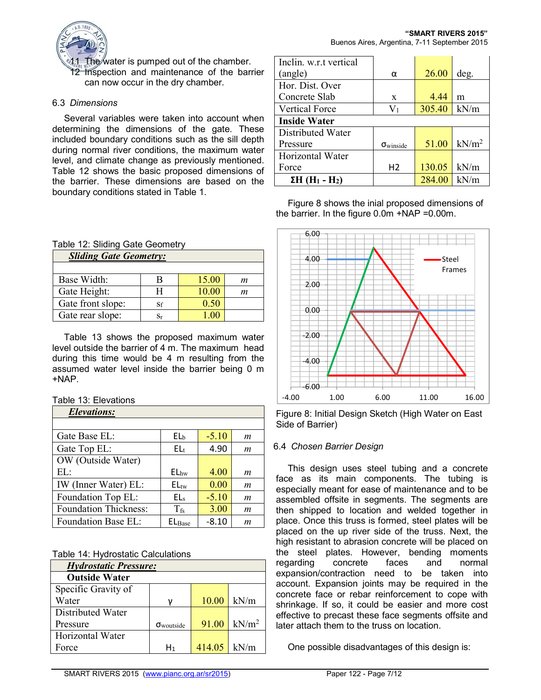

The water is pumped out of the chamber. 12 Inspection and maintenance of the barrier can now occur in the dry chamber.

## 6.3 *Dimensions*

Several variables were taken into account when determining the dimensions of the gate. These included boundary conditions such as the sill depth during normal river conditions, the maximum water level, and climate change as previously mentioned. Table 12 shows the basic proposed dimensions of the barrier. These dimensions are based on the boundary conditions stated in Table 1.

### Table 12: Sliding Gate Geometry

| <b>Sliding Gate Geometry:</b> |             |       |   |  |  |
|-------------------------------|-------------|-------|---|--|--|
|                               |             |       |   |  |  |
| Base Width:                   | В           | 15.00 | m |  |  |
| Gate Height:                  | H           | 10.00 | m |  |  |
| Gate front slope:             | Sf          | 0.50  |   |  |  |
| Gate rear slope:              | $_{\rm Sr}$ |       |   |  |  |

Table 13 shows the proposed maximum water level outside the barrier of 4 m. The maximum head during this time would be 4 m resulting from the assumed water level inside the barrier being 0 m +NAP.

#### Table 13: Elevations

| <b>Elevations:</b>           |                  |         |                  |
|------------------------------|------------------|---------|------------------|
|                              |                  |         |                  |
| Gate Base EL:                | EL <sub>b</sub>  | $-5.10$ | $\boldsymbol{m}$ |
| Gate Top EL:                 | EL <sub>t</sub>  | 4.90    | $\boldsymbol{m}$ |
| OW (Outside Water)           |                  |         |                  |
| EL:                          | EL <sub>hw</sub> | 4.00    | $\boldsymbol{m}$ |
| IW (Inner Water) EL:         | $EL_{\text{tw}}$ | 0.00    | m                |
| Foundation Top EL:           | EL <sub>s</sub>  | $-5.10$ | $\boldsymbol{m}$ |
| <b>Foundation Thickness:</b> | $T_{fs}$         | 3.00    | $\boldsymbol{m}$ |
| Foundation Base EL:          | $EL_{Base}$      | $-8.10$ | m                |

Table 14: Hydrostatic Calculations

| <b>Hydrostatic Pressure:</b> |                            |        |                   |  |  |
|------------------------------|----------------------------|--------|-------------------|--|--|
| <b>Outside Water</b>         |                            |        |                   |  |  |
| Specific Gravity of          |                            |        |                   |  |  |
| Water                        |                            | 10.00  | kN/m              |  |  |
| Distributed Water            |                            |        |                   |  |  |
| Pressure                     | $\sigma_{\text{woutside}}$ | 91.00  | kN/m <sup>2</sup> |  |  |
| Horizontal Water             |                            |        |                   |  |  |
| Force                        | H <sub>1</sub>             | 414.05 | kN/m              |  |  |

| Inclin. w.r.t vertical                        |                           |        |                   |
|-----------------------------------------------|---------------------------|--------|-------------------|
| (angle)                                       | α                         | 26.00  | deg.              |
| Hor. Dist. Over                               |                           |        |                   |
| Concrete Slab                                 | $\mathbf{x}$              | 4.44   | m                 |
| <b>Vertical Force</b>                         | $\rm V_1$                 | 305.40 | kN/m              |
| <b>Inside Water</b>                           |                           |        |                   |
| Distributed Water                             |                           |        |                   |
| Pressure                                      | $\sigma_{\text{winside}}$ | 51.00  | kN/m <sup>2</sup> |
| Horizontal Water                              |                           |        |                   |
| Force                                         | H <sub>2</sub>            | 130.05 | kN/m              |
| $\Sigma H$ (H <sub>1</sub> - H <sub>2</sub> ) |                           | 284.00 | kN/m              |

Figure 8 shows the inial proposed dimensions of the barrier. In the figure 0.0m +NAP =0.00m.



Figure 8: Initial Design Sketch (High Water on East Side of Barrier)

## 6.4 *Chosen Barrier Design*

This design uses steel tubing and a concrete face as its main components. The tubing is especially meant for ease of maintenance and to be assembled offsite in segments. The segments are then shipped to location and welded together in place. Once this truss is formed, steel plates will be placed on the up river side of the truss. Next, the high resistant to abrasion concrete will be placed on the steel plates. However, bending moments regarding concrete faces and normal expansion/contraction need to be taken into account. Expansion joints may be required in the concrete face or rebar reinforcement to cope with shrinkage. If so, it could be easier and more cost effective to precast these face segments offsite and later attach them to the truss on location.

One possible disadvantages of this design is: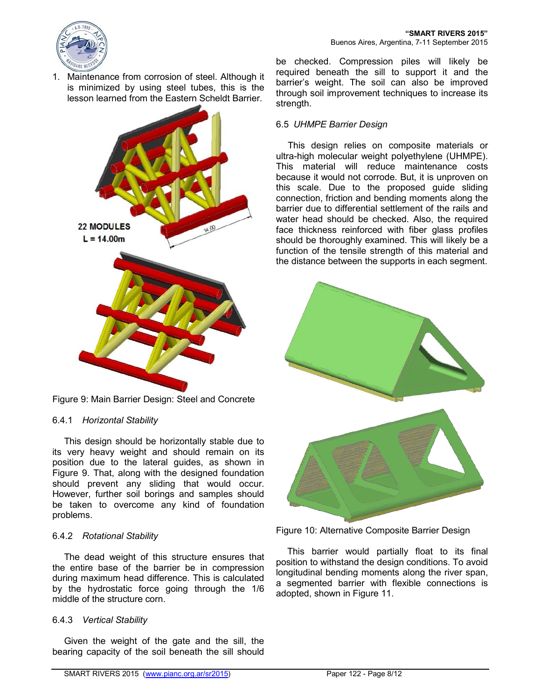

1. Maintenance from corrosion of steel. Although it is minimized by using steel tubes, this is the lesson learned from the Eastern Scheldt Barrier.



Figure 9: Main Barrier Design: Steel and Concrete

## 6.4.1 *Horizontal Stability*

This design should be horizontally stable due to its very heavy weight and should remain on its position due to the lateral guides, as shown in Figure 9. That, along with the designed foundation should prevent any sliding that would occur. However, further soil borings and samples should be taken to overcome any kind of foundation problems.

#### 6.4.2 *Rotational Stability*

The dead weight of this structure ensures that the entire base of the barrier be in compression during maximum head difference. This is calculated by the hydrostatic force going through the 1/6 middle of the structure corn.

## 6.4.3 *Vertical Stability*

Given the weight of the gate and the sill, the bearing capacity of the soil beneath the sill should be checked. Compression piles will likely be required beneath the sill to support it and the barrier's weight. The soil can also be improved through soil improvement techniques to increase its strength.

## 6.5 *UHMPE Barrier Design*

This design relies on composite materials or ultra-high molecular weight polyethylene (UHMPE). This material will reduce maintenance costs because it would not corrode. But, it is unproven on this scale. Due to the proposed guide sliding connection, friction and bending moments along the barrier due to differential settlement of the rails and water head should be checked. Also, the required face thickness reinforced with fiber glass profiles should be thoroughly examined. This will likely be a function of the tensile strength of this material and the distance between the supports in each segment.



Figure 10: Alternative Composite Barrier Design

This barrier would partially float to its final position to withstand the design conditions. To avoid longitudinal bending moments along the river span, a segmented barrier with flexible connections is adopted, shown in Figure 11.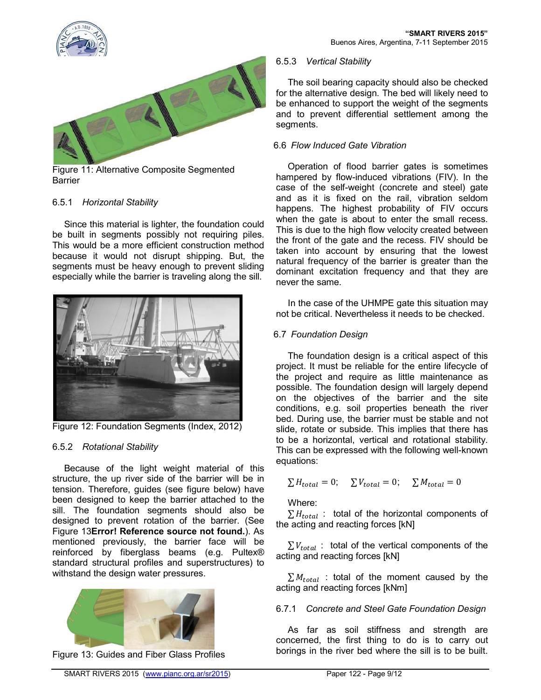



Figure 11: Alternative Composite Segmented **Barrier** 

## 6.5.1 *Horizontal Stability*

Since this material is lighter, the foundation could be built in segments possibly not requiring piles. This would be a more efficient construction method because it would not disrupt shipping. But, the segments must be heavy enough to prevent sliding especially while the barrier is traveling along the sill.



Figure 12: Foundation Segments (Index, 2012)

## 6.5.2 *Rotational Stability*

Because of the light weight material of this structure, the up river side of the barrier will be in tension. Therefore, guides (see figure below) have been designed to keep the barrier attached to the sill. The foundation segments should also be designed to prevent rotation of the barrier. (See Figure 13**Error! Reference source not found.**). As mentioned previously, the barrier face will be reinforced by fiberglass beams (e.g. Pultex® standard structural profiles and superstructures) to withstand the design water pressures.



Figure 13: Guides and Fiber Glass Profiles

## 6.5.3 *Vertical Stability*

The soil bearing capacity should also be checked for the alternative design. The bed will likely need to be enhanced to support the weight of the segments and to prevent differential settlement among the segments.

## 6.6 *Flow Induced Gate Vibration*

Operation of flood barrier gates is sometimes hampered by flow-induced vibrations (FIV). In the case of the self-weight (concrete and steel) gate and as it is fixed on the rail, vibration seldom happens. The highest probability of FIV occurs when the gate is about to enter the small recess. This is due to the high flow velocity created between the front of the gate and the recess. FIV should be taken into account by ensuring that the lowest natural frequency of the barrier is greater than the dominant excitation frequency and that they are never the same.

In the case of the UHMPE gate this situation may not be critical. Nevertheless it needs to be checked.

## 6.7 *Foundation Design*

The foundation design is a critical aspect of this project. It must be reliable for the entire lifecycle of the project and require as little maintenance as possible. The foundation design will largely depend on the objectives of the barrier and the site conditions, e.g. soil properties beneath the river bed. During use, the barrier must be stable and not slide, rotate or subside. This implies that there has to be a horizontal, vertical and rotational stability. This can be expressed with the following well-known equations:

$$
\sum H_{total} = 0; \quad \sum V_{total} = 0; \quad \sum M_{total} = 0
$$

Where:

 $\sum H_{total}$ : total of the horizontal components of the acting and reacting forces [kN]

 $\sum V_{total}$  : total of the vertical components of the acting and reacting forces [kN]

 $\sum M_{total}$  : total of the moment caused by the acting and reacting forces [kNm]

## 6.7.1 *Concrete and Steel Gate Foundation Design*

As far as soil stiffness and strength are concerned, the first thing to do is to carry out borings in the river bed where the sill is to be built.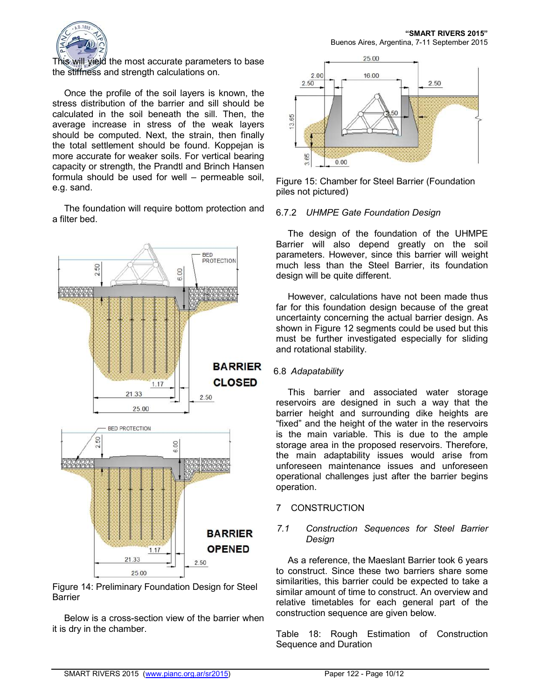

This will yield the most accurate parameters to base the stiffness and strength calculations on.

Once the profile of the soil layers is known, the stress distribution of the barrier and sill should be calculated in the soil beneath the sill. Then, the average increase in stress of the weak layers should be computed. Next, the strain, then finally the total settlement should be found. Koppejan is more accurate for weaker soils. For vertical bearing capacity or strength, the Prandtl and Brinch Hansen formula should be used for well – permeable soil, e.g. sand.

The foundation will require bottom protection and a filter bed.



Figure 14: Preliminary Foundation Design for Steel Barrier

Below is a cross-section view of the barrier when it is dry in the chamber.



Figure 15: Chamber for Steel Barrier (Foundation piles not pictured)

### 6.7.2 *UHMPE Gate Foundation Design*

The design of the foundation of the UHMPE Barrier will also depend greatly on the soil parameters. However, since this barrier will weight much less than the Steel Barrier, its foundation design will be quite different.

However, calculations have not been made thus far for this foundation design because of the great uncertainty concerning the actual barrier design. As shown in Figure 12 segments could be used but this must be further investigated especially for sliding and rotational stability.

## 6.8 *Adapatability*

This barrier and associated water storage reservoirs are designed in such a way that the barrier height and surrounding dike heights are "fixed" and the height of the water in the reservoirs is the main variable. This is due to the ample storage area in the proposed reservoirs. Therefore, the main adaptability issues would arise from unforeseen maintenance issues and unforeseen operational challenges just after the barrier begins operation.

## 7 CONSTRUCTION

## *7.1 Construction Sequences for Steel Barrier Design*

As a reference, the Maeslant Barrier took 6 years to construct. Since these two barriers share some similarities, this barrier could be expected to take a similar amount of time to construct. An overview and relative timetables for each general part of the construction sequence are given below.

Table 18: Rough Estimation of Construction Sequence and Duration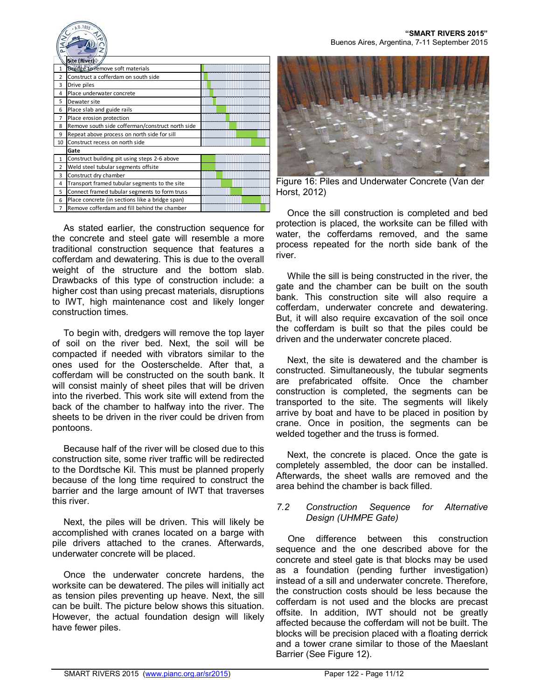

As stated earlier, the construction sequence for the concrete and steel gate will resemble a more traditional construction sequence that features a cofferdam and dewatering. This is due to the overall weight of the structure and the bottom slab. Drawbacks of this type of construction include: a higher cost than using precast materials, disruptions to IWT, high maintenance cost and likely longer construction times.

To begin with, dredgers will remove the top layer of soil on the river bed. Next, the soil will be compacted if needed with vibrators similar to the ones used for the Oosterschelde. After that, a cofferdam will be constructed on the south bank. It will consist mainly of sheet piles that will be driven into the riverbed. This work site will extend from the back of the chamber to halfway into the river. The sheets to be driven in the river could be driven from pontoons.

Because half of the river will be closed due to this construction site, some river traffic will be redirected to the Dordtsche Kil. This must be planned properly because of the long time required to construct the barrier and the large amount of IWT that traverses this river.

Next, the piles will be driven. This will likely be accomplished with cranes located on a barge with pile drivers attached to the cranes. Afterwards, underwater concrete will be placed.

Once the underwater concrete hardens, the worksite can be dewatered. The piles will initially act as tension piles preventing up heave. Next, the sill can be built. The picture below shows this situation. However, the actual foundation design will likely have fewer piles.



Buenos Aires, Argentina, 7-11 September 2015

**"SMART RIVERS 2015"**

Figure 16: Piles and Underwater Concrete (Van der Horst, 2012)

Once the sill construction is completed and bed protection is placed, the worksite can be filled with water, the cofferdams removed, and the same process repeated for the north side bank of the river.

While the sill is being constructed in the river, the gate and the chamber can be built on the south bank. This construction site will also require a cofferdam, underwater concrete and dewatering. But, it will also require excavation of the soil once the cofferdam is built so that the piles could be driven and the underwater concrete placed.

Next, the site is dewatered and the chamber is constructed. Simultaneously, the tubular segments are prefabricated offsite. Once the chamber construction is completed, the segments can be transported to the site. The segments will likely arrive by boat and have to be placed in position by crane. Once in position, the segments can be welded together and the truss is formed.

Next, the concrete is placed. Once the gate is completely assembled, the door can be installed. Afterwards, the sheet walls are removed and the area behind the chamber is back filled.

### *7.2 Construction Sequence for Alternative Design (UHMPE Gate)*

One difference between this construction sequence and the one described above for the concrete and steel gate is that blocks may be used as a foundation (pending further investigation) instead of a sill and underwater concrete. Therefore, the construction costs should be less because the cofferdam is not used and the blocks are precast offsite. In addition, IWT should not be greatly affected because the cofferdam will not be built. The blocks will be precision placed with a floating derrick and a tower crane similar to those of the Maeslant Barrier (See Figure 12).